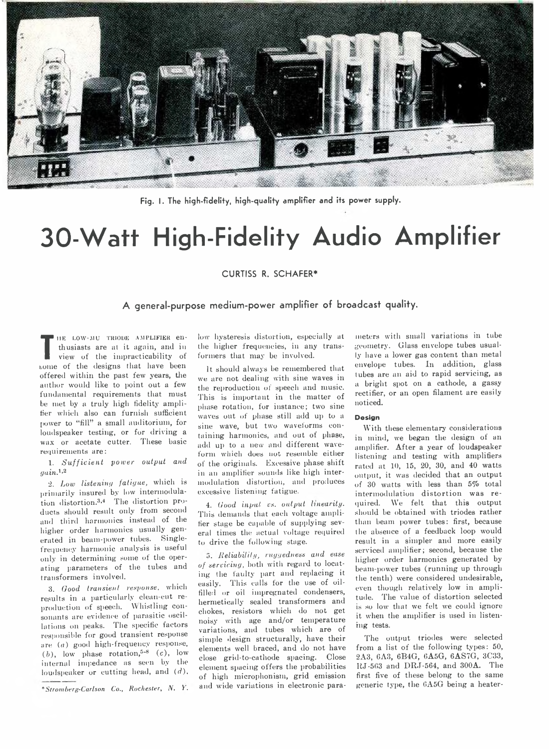

**Fig. I. The high-fidelity, high-quality amplifier and its power supply.**

# **30-Watt High-Fidelity Audio Amplifier**

# **CURTISS R. SCHAFER\***

# **A general-purpose medium-power amplifier of broadcast quality.**

**T**view of the impracticability of ing LOW-MU TRIODE AMPLIFIER enthusiasts are at it again, and in borne of the designs that have been offered within the past few years, the author would like to point out a few fundamental requirements that must be met by a truly high fidelity amplifier which also can furnish sufficient power to "fill" a small auditorium, for loudspeaker testing, or for driving a wax or acetate cutter. These basic requirements are:

1. *Sufficient power output and gain.1'2*

2. *Low listening fatigue,* which is primarily insured by low intermodulation distortion.3-4 The distortion products should result only from second and third harmonics instead of the higher order harmonics usually generated in beam-power tubes. Singlefrequency harmonic analysis is useful only in determining some of the operating parameters of the tubes and transformers involved.

3. *Good transient response,* which results in a particularly clean-cut reproduction of speech. Whistling consonants are evidence of parasitic oscillations on peaks. The specific factors responsible for good transient response are *(a)* good high-frequency response,  $(b)$ , low phase rotation,<sup>5-8</sup>  $(c)$ , low internal impedance as seen by the loudspeaker or cutting head, and *(d),*

*\*Stromberg-Carlson Co., R ochester*, *N.* V.

low hysteresis distortion, especially at the higher frequencies, in any transformers that may be involved.

It should always be remembered that we are not dealing with sine waves in the reproduction of speech and music. This is important in the matter of phase rotation, for instance; two sine waves out of phase still add up to a sine wave, but two waveforms containing harmonics, and out of phase, add up to a new and different waveform which does not resemble either of the originals. Excessive phase shift in an amplifier sounds like high intermodulation distortion, and produces excessive listening fatigue.

4. *Good input vs. output linearity.* This demands that each voltage amplifier stage be capable of supplying several times the actual voltage required to drive the following stage.

a. *Reliability, ruyyedness and ease of servicing,* both with regard to locating- the faulty part and replacing it easily. This calls for the use of oilfilled or oil impregnated condensers, hermetically sealed transformers and chokes, resistors which do not get noisy with age and/or temperature variations, and tubes which are of simple design structurally, have their elements well braced, and do not have close grid-to-cathode spacing. Close element spacing offers the probabilities of high microphonism, grid emission and wide variations in electronic para-

meters with small variations in tube geometry. Glass envelope tubes usually have a lower gas content than metal envelope tubes. In addition, glass tubes are an aid to rapid servicing, as a bright spot on a cathode, a gassy rectifier, or an open filament are easily noticed.

#### **D esign**

With these elementary considerations in mind, we began the design of an amplifier. After a year of loudspeaker listening and testing with amplifiers rated at 10, 15, 20, 30, and 40 watts output, it was decided that an output of 30 watts with less than 5% total intermodulation distortion was required. We felt that this output should be obtained with triodes rather than beam power tubes: first, because the absence of a feedback loop would result in a simpler and more easily serviced amplifier; second, because the higher order harmonics generated by beam-power tubes (running up through the tenth) were considered undesirable, even though relatively low in amplitude. The value of distortion selected is so low that we felt we could ignore it when the amplifier is used in listening tests.

The output triodes were selected from a list of the following types: 50, 2A3, CAS, 6B4G, 6A5G, 6AS7G, 3C33, ItJ-503 and DRJ-564, and 300A. The first five of these belong to the same generic type, the GA5G being a heater-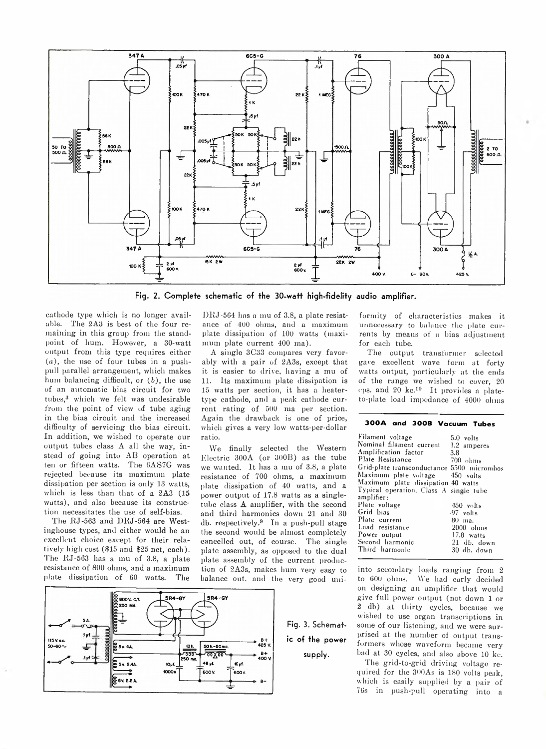

Fig. 2. Complete schematic of the 30-watt high-fidelity audio amplifier.

cathode type which is no longer available. The 2A3 is best of the four remaining in this group from the standpoint of hum. However, a 30-watt output from this type requires either *(a),* the use of four tubes in a pushpull parallel arrangement, which makes hum balancing difficult, or ( *b*), the use of an automatic bias circuit for two tubes,<sup>3</sup> which we felt was undesirable from the point of view of tube aging in the bias circuit and the increased difficulty of servicing the bias circuit. In addition, we wished to operate our output tubes class A all the way, instead of going into AB operation at ten or fifteen watts. The 6AS7G was rejected because its maximum plate dissipation per section is only 13 watts, which is less than that of a 2A3 (15 watts), and also because its construction necessitates the use of self-bias.

The RJ-563 and DRJ-564 are Westinghouse types, and either would be an excellent choice except for their relatively high cost (\$15 and \$25 net, each). The RJ-563 has a mu of 3.8, a plate resistance of 800 ohms, and a maximum plate dissipation of 60 watts. The



DRJ-564 has a mu of 3.8, a plate resistance of 400 ohms, and a maximum plate dissipation of 100 watts (maximum plate current 400 ma).

A single 3C33 compares very favorably with a pair of 2A3s, except that it is easier to drive, having a mu of 11. Its maximum plate dissipation is 15 watts per section, it has a heatertype cathode, and a peak cathode current rating of 500 ma per section. Again the drawback is one of price, which gives a very low watts-per-dollar ratio.

We finally selected the Western Electric 300A (or 300B) as the tube we wanted. It has a mu of 3.8, a plate resistance of 700 ohms, a maximum plate dissipation of 40 watts, and a power output of 17.8 watts as a singletube class A amplifier, with the second and third harmonics down 21 and 30 db. respectively.9 In a push-pull stage the second would be almost completely cancelled out, of course. The single plate assembly, as opposed to the dual plate assembly of the current production of 2A3s, makes hum very easy to balance out, and the very good uni-

> **Fig. 3. Schematic of the power supply.**

formity of characteristics makes it unnecessary to balance the plate currents by means of a bias adjustment for each tube.

The output transformer selected gave excellent wave form at forty watts output, particularly at the ends of the range we wished to cover, 20 cps. and 20 kc.10 It provides a plateto-plate load impedance of 4000 ohms

## 300A and 300B Vacuum Tubes

| Filament voltage                           | 5.0 volts   |
|--------------------------------------------|-------------|
| Nominal filament current 1.2 amperes       |             |
| Amplification factor                       | 3.8         |
| Plate Resistance                           | $700$ ohms  |
| Grid-plate transconductance 5500 micromhos |             |
| Maximum plate voltage 450 volts            |             |
| Maximum plate dissipation 40 watts         |             |
| Typical operation, Class A single tube     |             |
| amplifier:                                 |             |
| Plate voltage                              | 450 volts   |
| Grid bias                                  | $-97$ volts |
| Plate current                              | 80 ma.      |
| Load resistance                            | $2000$ ohms |
| Power output                               | 17.8 watts  |
| Second harmonic                            | 21 db. down |
| Third harmonic                             | 30 db. down |
|                                            |             |

into secondary loads ranging from 2 to 600 ohms. We had early decided on designing an amplifier that would give full power output (not down 1 or 2 db) at thirty cycles, because we wished to use organ transcriptions in some of our listening, and we were surprised at the number of output transformers whose waveform became very bad at 30 cycles, and also above 10 kc.

The grid-to-grid driving voltage required for the 300As is 180 volts peak, which is easily supplied by a pair of 76s in push-pull operating into a